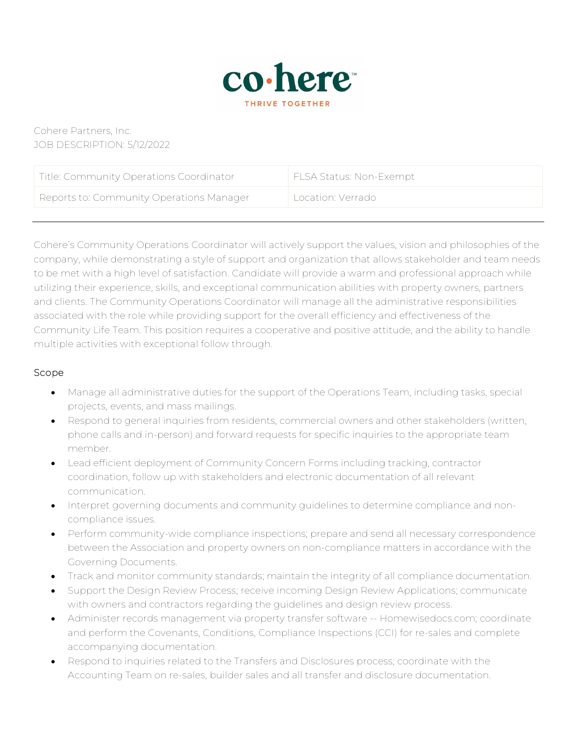

# Cohere Partners, Inc. JOB DESCRIPTION: 5/12/2022

| Title: Community Operations Coordinator  | FLSA Status: Non-Exempt |
|------------------------------------------|-------------------------|
| Reports to: Community Operations Manager | Location: Verrado       |

Cohere's Community Operations Coordinator will actively support the values, vision and philosophies of the company, while demonstrating a style of support and organization that allows stakeholder and team needs to be met with a high level of satisfaction. Candidate will provide a warm and professional approach while utilizing their experience, skills, and exceptional communication abilities with property owners, partners and clients. The Community Operations Coordinator will manage all the administrative responsibilities associated with the role while providing support for the overall efficiency and effectiveness of the Community Life Team. This position requires a cooperative and positive attitude, and the ability to handle multiple activities with exceptional follow through.

#### Scope

- Manage all administrative duties for the support of the Operations Team, including tasks, special projects, events, and mass mailings.
- Respond to general inquiries from residents, commercial owners and other stakeholders (written, phone calls and in-person) and forward requests for specific inquiries to the appropriate team member.
- Lead efficient deployment of Community Concern Forms including tracking, contractor coordination, follow up with stakeholders and electronic documentation of all relevant communication.
- Interpret governing documents and community guidelines to determine compliance and noncompliance issues.
- Perform community-wide compliance inspections; prepare and send all necessary correspondence between the Association and property owners on non-compliance matters in accordance with the Governing Documents.
- Track and monitor community standards; maintain the integrity of all compliance documentation.
- Support the Design Review Process; receive incoming Design Review Applications; communicate with owners and contractors regarding the guidelines and design review process.
- Administer records management via property transfer software -- Homewisedocs.com; coordinate and perform the Covenants, Conditions, Compliance Inspections (CCI) for re-sales and complete accompanying documentation.
- Respond to inquiries related to the Transfers and Disclosures process; coordinate with the Accounting Team on re-sales, builder sales and all transfer and disclosure documentation.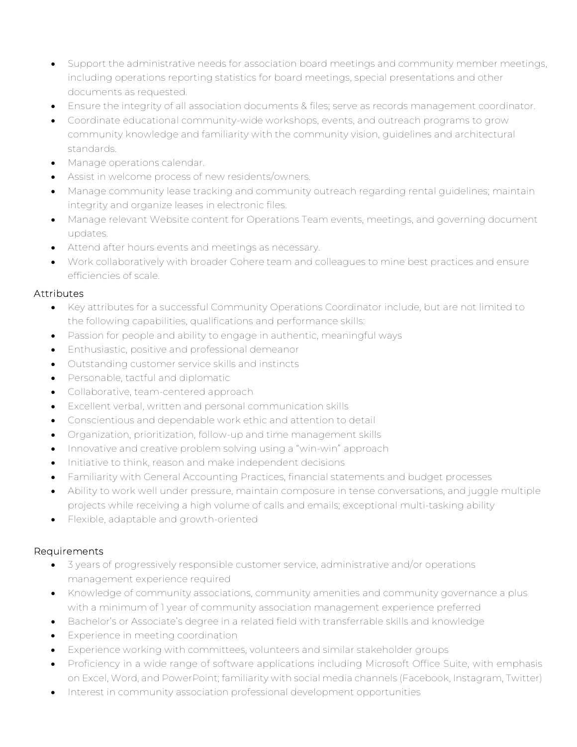- Support the administrative needs for association board meetings and community member meetings, including operations reporting statistics for board meetings, special presentations and other documents as requested.
- Ensure the integrity of all association documents & files; serve as records management coordinator.
- Coordinate educational community-wide workshops, events, and outreach programs to grow community knowledge and familiarity with the community vision, guidelines and architectural standards.
- Manage operations calendar.
- Assist in welcome process of new residents/owners.
- Manage community lease tracking and community outreach regarding rental guidelines; maintain integrity and organize leases in electronic files.
- Manage relevant Website content for Operations Team events, meetings, and governing document updates.
- Attend after hours events and meetings as necessary.
- Work collaboratively with broader Cohere team and colleagues to mine best practices and ensure efficiencies of scale.

### **Attributes**

- Key attributes for a successful Community Operations Coordinator include, but are not limited to the following capabilities, qualifications and performance skills:
- Passion for people and ability to engage in authentic, meaningful ways
- Enthusiastic, positive and professional demeanor
- Outstanding customer service skills and instincts
- Personable, tactful and diplomatic
- Collaborative, team-centered approach
- Excellent verbal, written and personal communication skills
- Conscientious and dependable work ethic and attention to detail
- Organization, prioritization, follow-up and time management skills
- Innovative and creative problem solving using a "win-win" approach
- Initiative to think, reason and make independent decisions
- Familiarity with General Accounting Practices, financial statements and budget processes
- Ability to work well under pressure, maintain composure in tense conversations, and juggle multiple projects while receiving a high volume of calls and emails; exceptional multi-tasking ability
- Flexible, adaptable and growth-oriented

### Requirements

- 3 years of progressively responsible customer service, administrative and/or operations management experience required
- Knowledge of community associations, community amenities and community governance a plus with a minimum of 1 year of community association management experience preferred
- Bachelor's or Associate's degree in a related field with transferrable skills and knowledge
- Experience in meeting coordination
- Experience working with committees, volunteers and similar stakeholder groups
- Proficiency in a wide range of software applications including Microsoft Office Suite, with emphasis on Excel, Word, and PowerPoint; familiarity with social media channels (Facebook, Instagram, Twitter)
- Interest in community association professional development opportunities